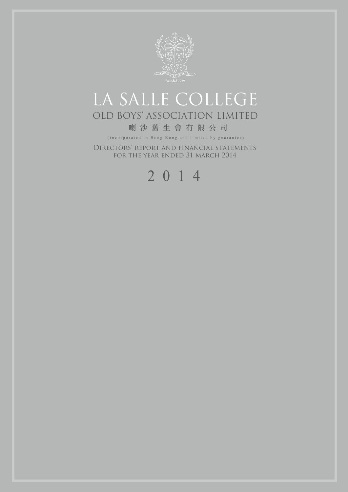

### LA SALLE COLLEGE OLD BOYS' ASSOCIATION LIMITED

### 喇沙舊生會有限公司

(incorporated in Hong Kong and limited by guarantee)

Directors' report and financial statements for the year ended 31 march 2014

## 2014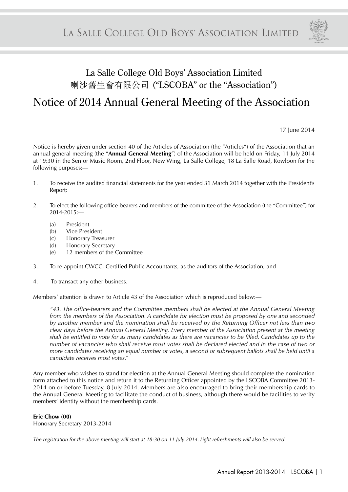

### La Salle College Old Boys' Association Limited 喇沙舊生會有限公司 ("LSCOBA" or the "Association") Notice of 2014 Annual General Meeting of the Association

17 June 2014

Notice is hereby given under section 40 of the Articles of Association (the "Articles") of the Association that an annual general meeting (the "**Annual General Meeting**") of the Association will be held on Friday, 11 July 2014 at 19:30 in the Senior Music Room, 2nd Floor, New Wing, La Salle College, 18 La Salle Road, Kowloon for the following purposes:—

- 1. To receive the audited financial statements for the year ended 31 March 2014 together with the President's Report;
- 2. To elect the following office-bearers and members of the committee of the Association (the "Committee") for 2014-2015:—
	- (a) President
	- (b) Vice President
	- (c) Honorary Treasurer
	- (d) Honorary Secretary
	- (e) 12 members of the Committee
- 3. To re-appoint CWCC, Certified Public Accountants, as the auditors of the Association; and
- 4. To transact any other business.

Members' attention is drawn to Article 43 of the Association which is reproduced below:—

*"43. The office-bearers and the Committee members shall be elected at the Annual General Meeting from the members of the Association. A candidate for election must be proposed by one and seconded by another member and the nomination shall be received by the Returning Officer not less than two clear days before the Annual General Meeting. Every member of the Association present at the meeting shall be entitled to vote for as many candidates as there are vacancies to be filled. Candidates up to the number of vacancies who shall receive most votes shall be declared elected and in the case of two or more candidates receiving an equal number of votes, a second or subsequent ballots shall be held until a candidate receives most votes."*

Any member who wishes to stand for election at the Annual General Meeting should complete the nomination form attached to this notice and return it to the Returning Officer appointed by the LSCOBA Committee 2013- 2014 on or before Tuesday, 8 July 2014. Members are also encouraged to bring their membership cards to the Annual General Meeting to facilitate the conduct of business, although there would be facilities to verify members' identity without the membership cards.

### **Eric Chow (00)**

Honorary Secretary 2013-2014

*The registration for the above meeting will start at 18:30 on 11 July 2014. Light refreshments will also be served.*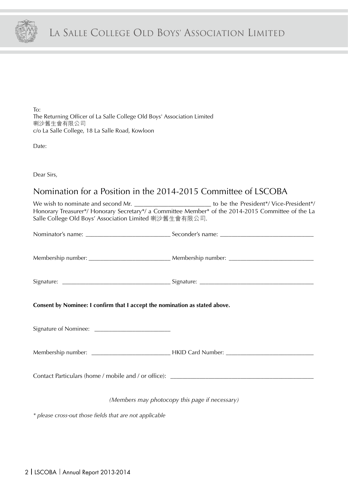

To: The Returning Officer of La Salle College Old Boys' Association Limited 喇沙舊生會有限公司 c/o La Salle College, 18 La Salle Road, Kowloon

Date:

Dear Sirs,

### Nomination for a Position in the 2014-2015 Committee of LSCOBA

We wish to nominate and second Mr. \_\_\_\_\_\_\_\_\_\_\_\_\_\_\_\_\_\_\_\_\_\_\_\_\_\_\_\_\_\_\_\_ to be the President\*/ Vice-President\*/ Honorary Treasurer\*/ Honorary Secretary\*/ a Committee Member\* of the 2014-2015 Committee of the La Salle College Old Boys' Association Limited 喇沙舊生會有限公司.

| Consent by Nominee: I confirm that I accept the nomination as stated above. |                                                |  |  |  |
|-----------------------------------------------------------------------------|------------------------------------------------|--|--|--|
|                                                                             |                                                |  |  |  |
|                                                                             |                                                |  |  |  |
|                                                                             |                                                |  |  |  |
|                                                                             | (Members may photocopy this page if necessary) |  |  |  |
| * please cross-out those fields that are not applicable                     |                                                |  |  |  |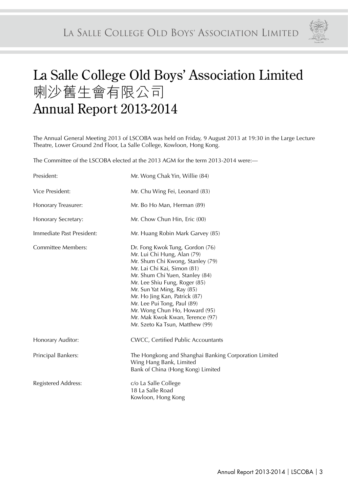

# La Salle College Old Boys' Association Limited 喇沙舊生會有限公司 Annual Report 2013-2014

The Annual General Meeting 2013 of LSCOBA was held on Friday, 9 August 2013 at 19:30 in the Large Lecture Theatre, Lower Ground 2nd Floor, La Salle College, Kowloon, Hong Kong.

The Committee of the LSCOBA elected at the 2013 AGM for the term 2013-2014 were:—

| President:                 | Mr. Wong Chak Yin, Willie (84)                                                                                                                                                                                                                                                                                                                                                                             |
|----------------------------|------------------------------------------------------------------------------------------------------------------------------------------------------------------------------------------------------------------------------------------------------------------------------------------------------------------------------------------------------------------------------------------------------------|
| Vice President:            | Mr. Chu Wing Fei, Leonard (83)                                                                                                                                                                                                                                                                                                                                                                             |
| Honorary Treasurer:        | Mr. Bo Ho Man, Herman (89)                                                                                                                                                                                                                                                                                                                                                                                 |
| Honorary Secretary:        | Mr. Chow Chun Hin, Eric (00)                                                                                                                                                                                                                                                                                                                                                                               |
| Immediate Past President:  | Mr. Huang Robin Mark Garvey (85)                                                                                                                                                                                                                                                                                                                                                                           |
| <b>Committee Members:</b>  | Dr. Fong Kwok Tung, Gordon (76)<br>Mr. Lui Chi Hung, Alan (79)<br>Mr. Shum Chi Kwong, Stanley (79)<br>Mr. Lai Chi Kai, Simon (81)<br>Mr. Shum Chi Yuen, Stanley (84)<br>Mr. Lee Shiu Fung, Roger (85)<br>Mr. Sun Yat Ming, Ray (85)<br>Mr. Ho Jing Kan, Patrick (87)<br>Mr. Lee Pui Tong, Paul (89)<br>Mr. Wong Chun Ho, Howard (95)<br>Mr. Mak Kwok Kwan, Terence (97)<br>Mr. Szeto Ka Tsun, Matthew (99) |
| Honorary Auditor:          | CWCC, Certified Public Accountants                                                                                                                                                                                                                                                                                                                                                                         |
| Principal Bankers:         | The Hongkong and Shanghai Banking Corporation Limited<br>Wing Hang Bank, Limited<br>Bank of China (Hong Kong) Limited                                                                                                                                                                                                                                                                                      |
| <b>Registered Address:</b> | c/o La Salle College<br>18 La Salle Road<br>Kowloon, Hong Kong                                                                                                                                                                                                                                                                                                                                             |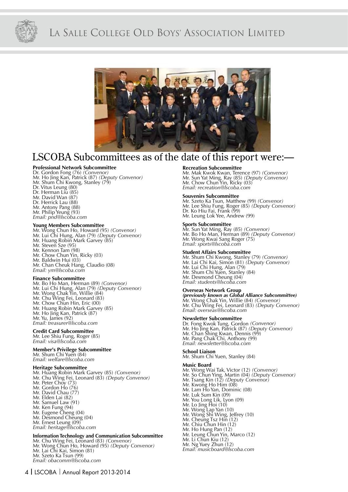

### LA SALLE COLLEGE OLD BOYS' ASSOCIATION LIMITED



### LSCOBA Subcommittees as of the date of this report were:—

### **Professional Network Subcommittee**

Dr. Gordon Fong (76) *(Convenor)* Mr. Ho Jing Kan,̃ Patrick (87) *(Deputy Convenor)*<br>Mr. Shum Chi Kwong, Stanley (79) Dr. Vitus Leung (80)

Dr. Herman Liu (85)

Mr. David Wan (87)

Dr. Herrick Lau (88)

Mr. Antony Pang (88)

Mr. Philip Yeung (93) *Email: pnd@lscoba.com*

#### **Young Members Subcommittee**

Mr. Wong Chun Ho, Howard (95) *(Convenor)* 

- Mr. Lui Chi Hung, Alan (79) *(Deputy Convenor)*<br>Mr. Huang Robin Mark Garvey (85)
- Mr. Steven Sze (95)
- Mr. Kennon Tam (98)
- Mr. Chow Chun Yin, Ricky (03)

Mr. Baldwin Hui (03)

Mr. Chan Cheuk Hang, Claudio (08)

*Email: ym@lscoba.com*

#### **Finance Subcommittee**

Mr. Bo Ho Man, Herman (89) *(Convenor)* Mr. Lui Chi Hung, Alan (79) *(Deputy Convenor)*<br>Mr. Wong Chak Yin, Willie (84) Mr. Chu Wing Fei, Leonard (83) Mr. Chow Chun Hin, Eric (00) Mr. Huang Robin Mark Garvey (85) Mr. Ho Jing Kan, Patrick (87) Mr. Yu, James (92) *Email: treasurer@lscoba.com*

#### **Credit Card Subcommittee**

Mr. Lee Shiu Fung, Roger (85) *Email: visa@lscoba.com*

#### **Member's Privilege Subcommittee**

Mr. Shum Chi Yuen (84)

*Email: welfare@lscoba.com*

#### **Heritage Subcommittee**

Mr. Huang Robin Mark Garvey (85) *(Convenor)* Mr. Chu Wing Fei, Leonard (83) *(Deputy Convenor)* Mr. Peter Choy (73) Mr. Gordon Ho (76) Mr. David Chau (77) Mr. Elden Lai (82) Mr. Samuel Law (91) Mr. Ken Fung (94) Mr. Eugene Cheng (04) Mr. Desmond Cheung (04) Mr. Ernest Leung (09) *Email: heritage@lscoba.com*

#### **Information Technology and Communication Subcommittee**

Mr. Chu Wing Fei, Leonard (83) *(Convenor)* Mr. Wong Chun Ho, Howard (95) *(Deputy Convenor)*<br>Mr. Lai Chi Kai, Simon (81) Mr. Szeto Ka Tsun (99) *Email: obacomm@lscoba.com*

#### **Recreation Subcommittee**

Mr. Mak Kwok Kwan, Terence (97) *(Convenor)* Mr. Sun Yat Ming, Ray (85) *(Deputy Convenor)* Mr. Chow Chun Yin, Ricky (03) *Email: recreation@lscoba.com*

#### **Souvenirs Subcommittee**

Mr. Szeto Ka Tsun, Matthew (99) *(Convenor)* Mr. Lee Shiu Fung, Roger (85) *(Deputy Convenor)*<br>Dr. Ko Hiu Fai, Frank (99) Dr. Ko Hiu Fai, Frank (99)<br>Mr. Leung Lok Yee, Andrew (99)

#### **Sports Subcommittee**

Mr. Sun Yat Ming, Ray (85) *(Convenor)* Mr. Bo Ho Man, Herman (89) *(Deputy Convenor)*<br>Mr. Wong Kwai Sang Roger (75) *Email: sports@lscoba.com*

#### **Student Affairs Subcommittee**

Mr. Shum Chi Kwong, Stanley (79) *(Convenor)* Mr. Lai Chi Kai, Simon (81) *(Deputy Convenor)*<br>Mr. Lui Chi Hung, Alan (79) Mr. Shum Chi Yuen, Stanley (84) Mr. Desmond Cheung (04) *Email: students@lscoba.com*

**Overseas Network Group**  *(previously known as Global Alliance Subcommittee)* Mr. Wong Chak Yin, Willie (84) *(Convenor)* Mr. Chu Wing Fei, Leonard (83) *(Deputy Convenor) Email: overseas@lscoba.com*

#### **Newsletter Subcommittee**

Dr. Fong Kwok Tung, Gordon *(Convenor)* Mr. Ho Jing Kan, Patrick (87) *(Deputy Convenor)*<br>Mr. Chan Shing Kwan, Dennis (99) Mr. Pang Chak Chi, Anthony (99) *Email: newsletter@lscoba.com*

#### **School Liaison**

Mr. Shum Chi Yuen, Stanley (84)

#### **Music Board**

Mr. Wong Wai Tak, Victor (12) *(Convenor)* Mr. So Chun Ying, Martin (04) *(Deputy Convenor)*<br>Mr. Tsang Kin (12) *(Deputy Convenor)*<br>Mr. Kwong Ho Him (08) Mr. Lam Ho Yan, Dominic (08) Mr. Luk Sum Kin (09) Mr. You Long Lik, Lyon (09) Mr. Lo Jing Hoi (10) Mr. Wong Lap Yan (10) Mr. Wong Shi Wing, Jeffrey (10) Mr. Cheung Tsz Hin (12) Mr. Chiu Chun Hin (12) Mr. Ho Hung Pan (12) Mr. Leung Chun Yin, Marco (12) Mr. Li Chun Kiu (12) Mr. Ng Yuey Zhun (12) *Email: musicboard@lscoba.com*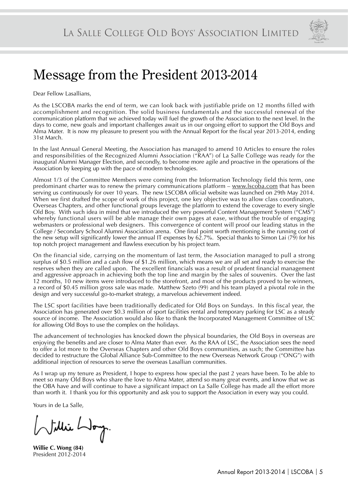

## Message from the President 2013-2014

Dear Fellow Lasallians,

As the LSCOBA marks the end of term, we can look back with justifiable pride on 12 months filled with accomplishment and recognition. The solid business fundamentals and the successful renewal of the communication platform that we achieved today will fuel the growth of the Association to the next level. In the days to come, new goals and important challenges await us in our ongoing effort to support the Old Boys and Alma Mater. It is now my pleasure to present you with the Annual Report for the fiscal year 2013-2014, ending 31st March.

In the last Annual General Meeting, the Association has managed to amend 10 Articles to ensure the roles and responsibilities of the Recognized Alumni Association ("RAA") of La Salle College was ready for the inaugural Alumni Manager Election, and secondly, to become more agile and proactive in the operations of the Association by keeping up with the pace of modern technologies.

Almost 1/3 of the Committee Members were coming from the Information Technology field this term, one predominant charter was to renew the primary communications platform – www.lscoba.com that has been serving us continuously for over 10 years. The new LSCOBA official website was launched on 29th May 2014. When we first drafted the scope of work of this project, one key objective was to allow class coordinators, Overseas Chapters, and other functional groups leverage the platform to extend the coverage to every single Old Boy. With such idea in mind that we introduced the very powerful Content Management System ("CMS") whereby functional users will be able manage their own pages at ease, without the trouble of engaging webmasters or professional web designers. This convergence of content will proof our leading status in the College / Secondary School Alumni Association arena. One final point worth mentioning is the running cost of the new setup will significantly lower the annual IT expenses by 62.7%. Special thanks to Simon Lai (79) for his top notch project management and flawless execution by his project team.

On the financial side, carrying on the momentum of last term, the Association managed to pull a strong surplus of \$0.5 million and a cash flow of \$1.26 million, which means we are all set and ready to exercise the reserves when they are called upon. The excellent financials was a result of prudent financial management and aggressive approach in achieving both the top line and margin by the sales of souvenirs. Over the last 12 months, 10 new items were introduced to the storefront, and most of the products proved to be winners, a record of \$0.45 million gross sale was made. Matthew Szeto (99) and his team played a pivotal role in the design and very successful go-to-market strategy, a marvelous achievement indeed.

The LSC sport facilities have been traditionally dedicated for Old Boys on Sundays. In this fiscal year, the Association has generated over \$0.3 million of sport facilities rental and temporary parking for LSC as a steady source of income. The Association would also like to thank the Incorporated Management Committee of LSC for allowing Old Boys to use the complex on the holidays.

The advancement of technologies has knocked down the physical boundaries, the Old Boys in overseas are enjoying the benefits and are closer to Alma Mater than ever. As the RAA of LSC, the Association sees the need to offer a lot more to the Overseas Chapters and other Old Boys communities, as such; the Committee has decided to restructure the Global Alliance Sub-Committee to the new Overseas Network Group ("ONG") with additional injection of resources to serve the overseas Lasallian communities.

As I wrap up my tenure as President, I hope to express how special the past 2 years have been. To be able to meet so many Old Boys who share the love to Alma Mater, attend so many great events, and know that we as the OBA have and will continue to have a significant impact on La Salle College has made all the effort more than worth it. I thank you for this opportunity and ask you to support the Association in every way you could.

Yours in de La Salle,

tillie Worg.

**Willie C. Wong (84)** President 2012-2014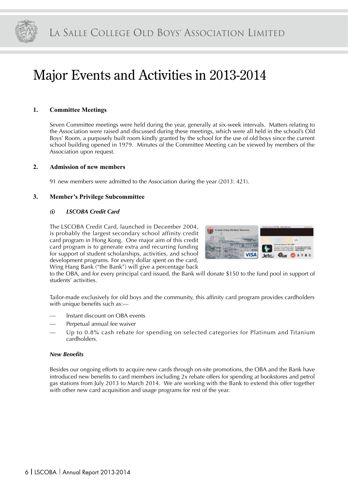

## Major Events and Activities in 2013-2014

### **1. Committee Meetings**

Seven Committee meetings were held during the year, generally at six-week intervals. Matters relating to the Association were raised and discussed during these meetings, which were all held in the school's Old Boys' Room, a purposely built room kindly granted by the school for the use of old boys since the current school building opened in 1979. Minutes of the Committee Meeting can be viewed by members of the Association upon request.

### **2. Admission of new members**

91 new members were admitted to the Association during the year (2013: 421).

### **3. Member's Privilege Subcommittee**

### *(i) LSCOBA Credit Card*

The LSCOBA Credit Card, launched in December 2004, is probably the largest secondary school affinity credit card program in Hong Kong. One major aim of this credit card program is to generate extra and recurring funding for support of student scholarships, activities, and school development programs. For every dollar spent on the card, Wing Hang Bank ("the Bank") will give a percentage back



to the OBA, and for every principal card issued, the Bank will donate \$150 to the fund pool in support of students' activities.

Tailor-made exclusively for old boys and the community, this affinity card program provides cardholders with unique benefits such as:—

- Instant discount on OBA events
- Perpetual annual fee waiver
- Up to 0.8% cash rebate for spending on selected categories for Platinum and Titanium cardholders.

### *New Benefits*

Besides our ongoing efforts to acquire new cards through on-site promotions, the OBA and the Bank have introduced new benefits to card members including 2x rebate offers for spending at bookstores and petrol gas stations from July 2013 to March 2014. We are working with the Bank to extend this offer together with other new card acquisition and usage programs for rest of the year.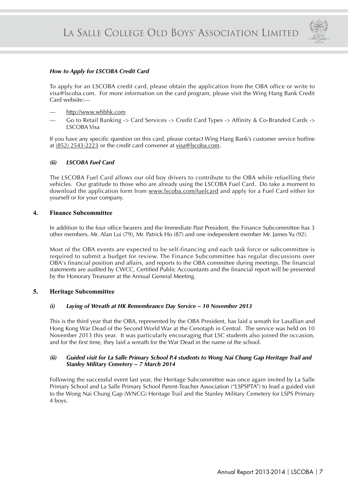

### *How to Apply for LSCOBA Credit Card*

To apply for an LSCOBA credit card, please obtain the application from the OBA office or write to visa@lscoba.com. For more information on the card program, please visit the Wing Hang Bank Credit Card website:—

- http://www.whbhk.com
- Go to Retail Banking -> Card Services -> Credit Card Types -> Affinity & Co-Branded Cards -> LSCOBA Visa

If you have any specific question on this card, please contact Wing Hang Bank's customer service hotline at (852) 2543-2223 or the credit card convener at visa@lscoba.com.

### *(ii) LSCOBA Fuel Card*

The LSCOBA Fuel Card allows our old boy drivers to contribute to the OBA while refuelling their vehicles. Our gratitude to those who are already using the LSCOBA Fuel Card. Do take a moment to download the application form from www.lscoba.com/fuelcard and apply for a Fuel Card either for yourself or for your company.

### **4. Finance Subcommittee**

In addition to the four office bearers and the Immediate Past President, the Finance Subcommittee has 3 other members, Mr. Alan Lui (79), Mr. Patrick Ho (87) and one independent member Mr. James Yu (92).

Most of the OBA events are expected to be self-financing and each task force or subcommittee is required to submit a budget for review. The Finance Subcommittee has regular discussions over OBA's financial position and affairs, and reports to the OBA committee during meetings. The financial statements are audited by CWCC, Certified Public Accountants and the financial report will be presented by the Honorary Treasurer at the Annual General Meeting.

### **5. Heritage Subcommittee**

### *(i) Laying of Wreath at HK Remembrance Day Service ~ 10 November 2013*

This is the third year that the OBA, represented by the OBA President, has laid a wreath for Lasallian and Hong Kong War Dead of the Second World War at the Cenotaph in Central. The service was held on 10 November 2013 this year. It was particularly encouraging that LSC students also joined the occasion, and for the first time, they laid a wreath for the War Dead in the name of the school.

### *(ii) Guided visit for La Salle Primary School P.4 students to Wong Nai Chung Gap Heritage Trail and Stanley Military Cemetery ~ 7 March 2014*

Following the successful event last year, the Heritage Subcommittee was once again invited by La Salle Primary School and La Salle Primary School Parent-Teacher Association ("LSPSPTA") to lead a guided visit to the Wong Nai Chung Gap (WNCG) Heritage Trail and the Stanley Military Cemetery for LSPS Primary 4 boys.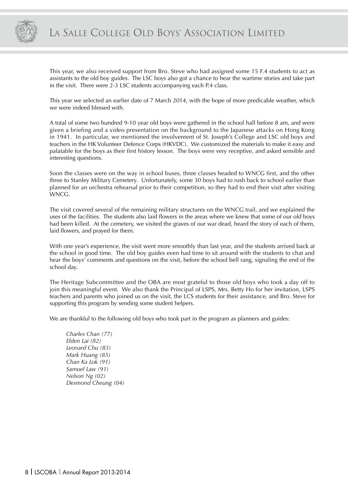

This year, we also received support from Bro. Steve who had assigned some 15 F.4 students to act as assistants to the old boy guides. The LSC boys also got a chance to hear the wartime stories and take part in the visit. There were 2-3 LSC students accompanying each P.4 class.

This year we selected an earlier date of 7 March 2014, with the hope of more predicable weather, which we were indeed blessed with.

A total of some two hundred 9-10 year old boys were gathered in the school hall before 8 am, and were given a briefing and a video presentation on the background to the Japanese attacks on Hong Kong in 1941. In particular, we mentioned the involvement of St. Joseph's College and LSC old boys and teachers in the HK Volunteer Defence Corps (HKVDC). We customized the materials to make it easy and palatable for the boys as their first history lesson. The boys were very receptive, and asked sensible and interesting questions.

Soon the classes were on the way in school buses, three classes headed to WNCG first, and the other three to Stanley Military Cemetery. Unfortunately, some 30 boys had to rush back to school earlier than planned for an orchestra rehearsal prior to their competition, so they had to end their visit after visiting WNCG.

The visit covered several of the remaining military structures on the WNCG trail, and we explained the uses of the facilities. The students also laid flowers in the areas where we knew that some of our old boys had been killed. At the cemetery, we visited the graves of our war dead, heard the story of each of them, laid flowers, and prayed for them.

With one year's experience, the visit went more smoothly than last year, and the students arrived back at the school in good time. The old boy guides even had time to sit around with the students to chat and hear the boys' comments and questions on the visit, before the school bell rang, signaling the end of the school day.

The Heritage Subcommittee and the OBA are most grateful to those old boys who took a day off to join this meaningful event. We also thank the Principal of LSPS, Mrs. Betty Ho for her invitation, LSPS teachers and parents who joined us on the visit, the LCS students for their assistance, and Bro. Steve for supporting this program by sending some student helpers.

We are thankful to the following old boys who took part in the program as planners and guides:

*Charles Chan (77) Elden Lai (82) Leonard Chu (83) Mark Huang (85) Chan Ka Lok (91) Samuel Law (91) Nelson Ng (02) Desmond Cheung (04)*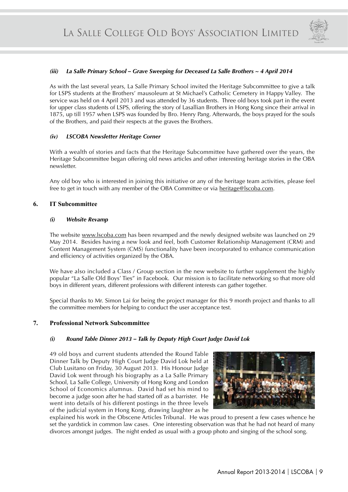

### *(iii) La Salle Primary School – Grave Sweeping for Deceased La Salle Brothers ~ 4 April 2014*

As with the last several years, La Salle Primary School invited the Heritage Subcommittee to give a talk for LSPS students at the Brothers' mausoleum at St Michael's Catholic Cemetery in Happy Valley. The service was held on 4 April 2013 and was attended by 36 students. Three old boys took part in the event for upper class students of LSPS, offering the story of Lasallian Brothers in Hong Kong since their arrival in 1875, up till 1957 when LSPS was founded by Bro. Henry Pang. Afterwards, the boys prayed for the souls of the Brothers, and paid their respects at the graves the Brothers.

### *(iv) LSCOBA Newsletter Heritage Corner*

With a wealth of stories and facts that the Heritage Subcommittee have gathered over the years, the Heritage Subcommittee began offering old news articles and other interesting heritage stories in the OBA newsletter.

Any old boy who is interested in joining this initiative or any of the heritage team activities, please feel free to get in touch with any member of the OBA Committee or via heritage@lscoba.com.

### **6. IT Subcommittee**

### *(i) Website Revamp*

The website www.lscoba.com has been revamped and the newly designed website was launched on 29 May 2014. Besides having a new look and feel, both Customer Relationship Management (CRM) and Content Management System (CMS) functionality have been incorporated to enhance communication and efficiency of activities organized by the OBA.

We have also included a Class / Group section in the new website to further supplement the highly popular "La Salle Old Boys' Ties" in Facebook. Our mission is to facilitate networking so that more old boys in different years, different professions with different interests can gather together.

Special thanks to Mr. Simon Lai for being the project manager for this 9 month project and thanks to all the committee members for helping to conduct the user acceptance test.

### **7. Professional Network Subcommittee**

### *(i) Round Table Dinner 2013 – Talk by Deputy High Court Judge David Lok*

49 old boys and current students attended the Round Table Dinner Talk by Deputy High Court Judge David Lok held at Club Lusitano on Friday, 30 August 2013. His Honour Judge David Lok went through his biography as a La Salle Primary School, La Salle College, University of Hong Kong and London School of Economics alumnus. David had set his mind to become a judge soon after he had started off as a barrister. He went into details of his different postings in the three levels of the judicial system in Hong Kong, drawing laughter as he



explained his work in the Obscene Articles Tribunal. He was proud to present a few cases whence he set the yardstick in common law cases. One interesting observation was that he had not heard of many divorces amongst judges. The night ended as usual with a group photo and singing of the school song.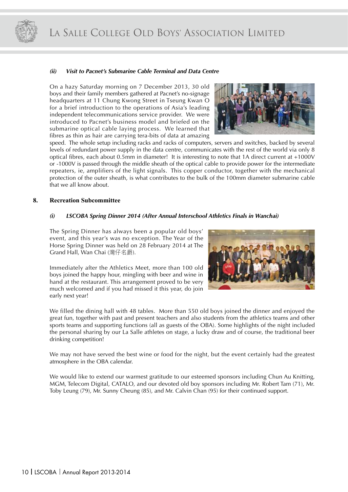

### *(ii) Visit to Pacnet's Submarine Cable Terminal and Data Centre*

On a hazy Saturday morning on 7 December 2013, 30 old boys and their family members gathered at Pacnet's no-signage headquarters at 11 Chung Kwong Street in Tseung Kwan O for a brief introduction to the operations of Asia's leading independent telecommunications service provider. We were introduced to Pacnet's business model and briefed on the submarine optical cable laying process. We learned that fibres as thin as hair are carrying tera-bits of data at amazing



speed. The whole setup including racks and racks of computers, servers and switches, backed by several levels of redundant power supply in the data centre, communicates with the rest of the world via only 8 optical fibres, each about 0.5mm in diameter! It is interesting to note that 1A direct current at +1000V or -1000V is passed through the middle sheath of the optical cable to provide power for the intermediate repeaters, ie, amplifiers of the light signals. This copper conductor, together with the mechanical protection of the outer sheath, is what contributes to the bulk of the 100mm diameter submarine cable that we all know about.

### **8. Recreation Subcommittee**

### *(i) LSCOBA Spring Dinner 2014 (After Annual Interschool Athletics Finals in Wanchai)*

The Spring Dinner has always been a popular old boys' event, and this year's was no exception. The Year of the Horse Spring Dinner was held on 28 February 2014 at The Grand Hall, Wan Chai (灣仔名爵).

Immediately after the Athletics Meet, more than 100 old boys joined the happy hour, mingling with beer and wine in hand at the restaurant. This arrangement proved to be very much welcomed and if you had missed it this year, do join early next year!



We filled the dining hall with 48 tables. More than 550 old boys joined the dinner and enjoyed the great fun, together with past and present teachers and also students from the athletics teams and other sports teams and supporting functions (all as guests of the OBA). Some highlights of the night included the personal sharing by our La Salle athletes on stage, a lucky draw and of course, the traditional beer drinking competition!

We may not have served the best wine or food for the night, but the event certainly had the greatest atmosphere in the OBA calendar.

We would like to extend our warmest gratitude to our esteemed sponsors including Chun Au Knitting, MGM, Telecom Digital, CATALO, and our devoted old boy sponsors including Mr. Robert Tam (71), Mr. Toby Leung (79), Mr. Sunny Cheung (85), and Mr. Calvin Chan (95) for their continued support.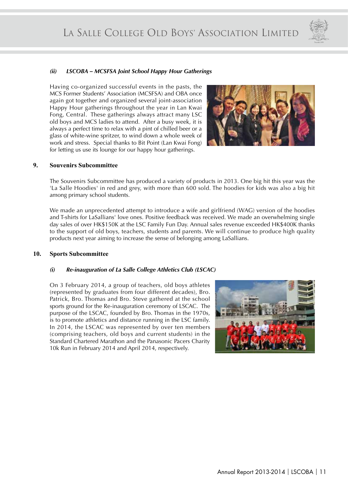

### *(ii) LSCOBA – MCSFSA Joint School Happy Hour Gatherings*

Having co-organized successful events in the pasts, the MCS Former Students' Association (MCSFSA) and OBA once again got together and organized several joint-association Happy Hour gatherings throughout the year in Lan Kwai Fong, Central. These gatherings always attract many LSC old boys and MCS ladies to attend. After a busy week, it is always a perfect time to relax with a pint of chilled beer or a glass of white-wine spritzer, to wind down a whole week of work and stress. Special thanks to Bit Point (Lan Kwai Fong) for letting us use its lounge for our happy hour gatherings.



### **9. Souvenirs Subcommittee**

The Souvenirs Subcommittee has produced a variety of products in 2013. One big hit this year was the 'La Salle Hoodies' in red and grey, with more than 600 sold. The hoodies for kids was also a big hit among primary school students.

We made an unprecedented attempt to introduce a wife and girlfriend (WAG) version of the hoodies and T-shirts for LaSallians' love ones. Positive feedback was received. We made an overwhelming single day sales of over HK\$150K at the LSC Family Fun Day. Annual sales revenue exceeded HK\$400K thanks to the support of old boys, teachers, students and parents. We will continue to produce high quality products next year aiming to increase the sense of belonging among LaSallians.

### **10. Sports Subcommittee**

#### *(i) Re-inauguration of La Salle College Athletics Club (LSCAC)*

On 3 February 2014, a group of teachers, old boys athletes (represented by graduates from four different decades), Bro. Patrick, Bro. Thomas and Bro. Steve gathered at the school sports ground for the Re-inauguration ceremony of LSCAC. The purpose of the LSCAC, founded by Bro. Thomas in the 1970s, is to promote athletics and distance running in the LSC family. In 2014, the LSCAC was represented by over ten members (comprising teachers, old boys and current students) in the Standard Chartered Marathon and the Panasonic Pacers Charity 10k Run in February 2014 and April 2014, respectively.

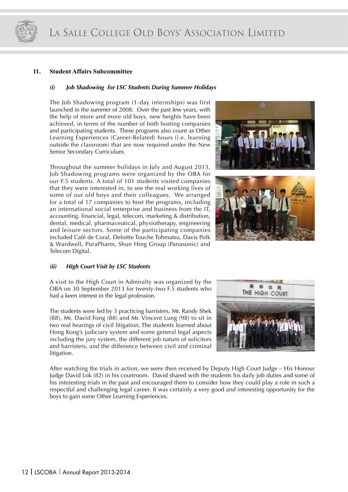

### **11. Student Affairs Subcommittee**

### *(i) Job Shadowing for LSC Students During Summer Holidays*

The Job Shadowing program (1-day internships) was first launched in the summer of 2008. Over the past few years, with the help of more and more old boys, new heights have been achieved, in terms of the number of both hosting companies and participating students. These programs also count as Other Learning Experiences (Career-Related) hours (i.e. learning outside the classroom) that are now required under the New Senior Secondary Curriculum.

Throughout the summer holidays in July and August 2013, Job Shadowing programs were organized by the OBA for our F.5 students. A total of 101 students visited companies that they were interested in, to see the real working lives of some of our old boys and their colleagues. We arranged for a total of 17 companies to host the programs, including an international social enterprise and business from the IT, accounting, financial, legal, telecom, marketing & distribution, dental, medical, pharmaceutical, physiotherapy, engineering and leisure sectors. Some of the participating companies included Café de Coral, Deloitte Touche Tohmatsu, Davis Polk & Wardwell, PuraPharm, Shun Hing Group (Panasonic) and Telecom Digital.



### *(ii) High Court Visit by LSC Students*

A visit to the High Court in Admiralty was organized by the OBA on 30 September 2013 for twenty-two F.5 students who had a keen interest in the legal profession.

The students were led by 3 practicing barristers, Mr. Randy Shek (88), Mr. David Fong (88) and Mr. Vincent Lung (98) to sit in two real hearings of civil litigation. The students learned about Hong Kong's judiciary system and some general legal aspects including the jury system, the different job nature of solicitors and barristers, and the difference between civil and criminal litigation.



After watching the trials in action, we were then received by Deputy High Court Judge – His Honour Judge David Lok (82) in his courtroom. David shared with the students his daily job duties and some of his interesting trials in the past and encouraged them to consider how they could play a role in such a respectful and challenging legal career. It was certainly a very good and interesting opportunity for the boys to gain some Other Learning Experiences.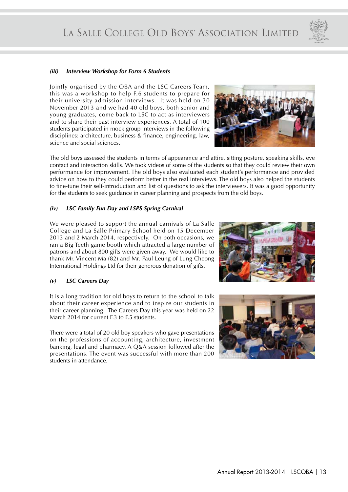LA SALLE COLLEGE OLD BOYS' ASSOCIATION LIMITED

### *(iii) Interview Workshop for Form 6 Students*

Jointly organised by the OBA and the LSC Careers Team, this was a workshop to help F.6 students to prepare for their university admission interviews. It was held on 30 November 2013 and we had 40 old boys, both senior and young graduates, come back to LSC to act as interviewers and to share their past interview experiences. A total of 100 students participated in mock group interviews in the following disciplines: architecture, business & finance, engineering, law, science and social sciences.

The old boys assessed the students in terms of appearance and attire, sitting posture, speaking skills, eye contact and interaction skills. We took videos of some of the students so that they could review their own performance for improvement. The old boys also evaluated each student's performance and provided advice on how to they could perform better in the real interviews. The old boys also helped the students to fine-tune their self-introduction and list of questions to ask the interviewers. It was a good opportunity for the students to seek guidance in career planning and prospects from the old boys.

### *(iv) LSC Family Fun Day and LSPS Spring Carnival*

We were pleased to support the annual carnivals of La Salle College and La Salle Primary School held on 15 December 2013 and 2 March 2014, respectively. On both occasions, we ran a Big Teeth game booth which attracted a large number of patrons and about 800 gifts were given away. We would like to thank Mr. Vincent Ma (82) and Mr. Paul Leung of Lung Cheong International Holdings Ltd for their generous donation of gifts.

### *(v) LSC Careers Day*

It is a long tradition for old boys to return to the school to talk about their career experience and to inspire our students in their career planning. The Careers Day this year was held on 22 March 2014 for current F.3 to F.5 students.

There were a total of 20 old boy speakers who gave presentations on the professions of accounting, architecture, investment banking, legal and pharmacy. A Q&A session followed after the presentations. The event was successful with more than 200 students in attendance.







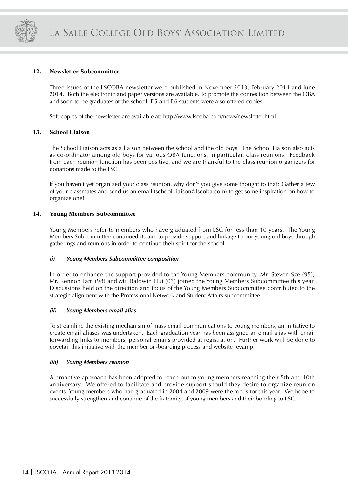

### **12. Newsletter Subcommittee**

Three issues of the LSCOBA newsletter were published in November 2013, February 2014 and June 2014. Both the electronic and paper versions are available. To promote the connection between the OBA and soon-to-be graduates of the school, F.5 and F.6 students were also offered copies.

Soft copies of the newsletter are available at: http://www.lscoba.com/news/newsletter.html

### **13. School Liaison**

The School Liaison acts as a liaison between the school and the old boys. The School Liaison also acts as co-ordinator among old boys for various OBA functions, in particular, class reunions. Feedback from each reunion function has been positive, and we are thankful to the class reunion organizers for donations made to the LSC.

If you haven't yet organized your class reunion, why don't you give some thought to that? Gather a few of your classmates and send us an email (school-liaison@lscoba.com) to get some inspiration on how to organize one!

### **14. Young Members Subcommittee**

Young Members refer to members who have graduated from LSC for less than 10 years. The Young Members Subcommittee continued its aim to provide support and linkage to our young old boys through gatherings and reunions in order to continue their spirit for the school.

### *(i) Young Members Subcommittee composition*

In order to enhance the support provided to the Young Members community, Mr. Steven Sze (95), Mr. Kennon Tam (98) and Mr. Baldwin Hui (03) joined the Young Members Subcommittee this year. Discussions held on the direction and focus of the Young Members Subcommittee contributed to the strategic alignment with the Professional Network and Student Affairs subcommittee.

### *(ii) Young Members email alias*

To streamline the existing mechanism of mass email communications to young members, an initiative to create email aliases was undertaken. Each graduation year has been assigned an email alias with email forwarding links to members' personal emails provided at registration. Further work will be done to dovetail this initiative with the member on-boarding process and website revamp.

### *(iii) Young Members reunion*

A proactive approach has been adopted to reach out to young members reaching their 5th and 10th anniversary. We offered to facilitate and provide support should they desire to organize reunion events. Young members who had graduated in 2004 and 2009 were the focus for this year. We hope to successfully strengthen and continue of the fraternity of young members and their bonding to LSC.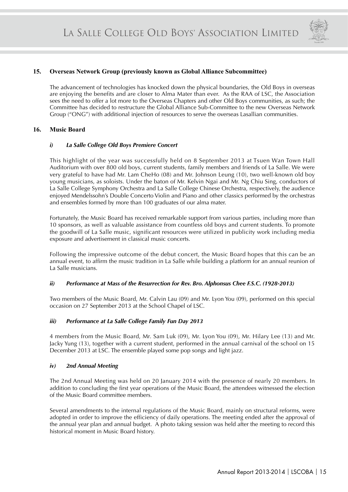

### **15. Overseas Network Group (previously known as Global Alliance Subcommittee)**

The advancement of technologies has knocked down the physical boundaries, the Old Boys in overseas are enjoying the benefits and are closer to Alma Mater than ever. As the RAA of LSC, the Association sees the need to offer a lot more to the Overseas Chapters and other Old Boys communities, as such; the Committee has decided to restructure the Global Alliance Sub-Committee to the new Overseas Network Group ("ONG") with additional injection of resources to serve the overseas Lasallian communities.

### **16. Music Board**

### *i) La Salle College Old Boys Premiere Concert*

This highlight of the year was successfully held on 8 September 2013 at Tsuen Wan Town Hall Auditorium with over 800 old boys, current students, family members and friends of La Salle. We were very grateful to have had Mr. Lam CheHo (08) and Mr. Johnson Leung (10), two well-known old boy young musicians, as soloists. Under the baton of Mr. Kelvin Ngai and Mr. Ng Chiu Sing, conductors of La Salle College Symphony Orchestra and La Salle College Chinese Orchestra, respectively, the audience enjoyed Mendelssohn's Double Concerto Violin and Piano and other classics performed by the orchestras and ensembles formed by more than 100 graduates of our alma mater.

Fortunately, the Music Board has received remarkable support from various parties, including more than 10 sponsors, as well as valuable assistance from countless old boys and current students. To promote the goodwill of La Salle music, significant resources were utilized in publicity work including media exposure and advertisement in classical music concerts.

Following the impressive outcome of the debut concert, the Music Board hopes that this can be an annual event, to affirm the music tradition in La Salle while building a platform for an annual reunion of La Salle musicians.

### *ii) Performance at Mass of the Resurrection for Rev. Bro. Alphonsus Chee F.S.C. (1928-2013)*

Two members of the Music Board, Mr. Calvin Lau (09) and Mr. Lyon You (09), performed on this special occasion on 27 September 2013 at the School Chapel of LSC.

### *iii) Performance at La Salle College Family Fun Day 2013*

4 members from the Music Board, Mr. Sam Luk (09), Mr. Lyon You (09), Mr. Hilary Lee (13) and Mr. Jacky Yung (13), together with a current student, performed in the annual carnival of the school on 15 December 2013 at LSC. The ensemble played some pop songs and light jazz.

### *iv) 2nd Annual Meeting*

The 2nd Annual Meeting was held on 20 January 2014 with the presence of nearly 20 members. In addition to concluding the first year operations of the Music Board, the attendees witnessed the election of the Music Board committee members.

Several amendments to the internal regulations of the Music Board, mainly on structural reforms, were adopted in order to improve the efficiency of daily operations. The meeting ended after the approval of the annual year plan and annual budget. A photo taking session was held after the meeting to record this historical moment in Music Board history.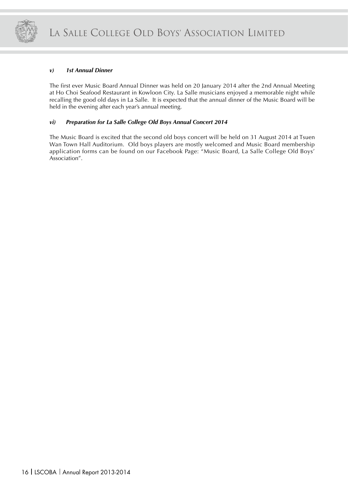

### *v) 1st Annual Dinner*

The first ever Music Board Annual Dinner was held on 20 January 2014 after the 2nd Annual Meeting at Ho Choi Seafood Restaurant in Kowloon City. La Salle musicians enjoyed a memorable night while recalling the good old days in La Salle. It is expected that the annual dinner of the Music Board will be held in the evening after each year's annual meeting.

### *vi) Preparation for La Salle College Old Boys Annual Concert 2014*

The Music Board is excited that the second old boys concert will be held on 31 August 2014 at Tsuen Wan Town Hall Auditorium. Old boys players are mostly welcomed and Music Board membership application forms can be found on our Facebook Page: "Music Board, La Salle College Old Boys' Association".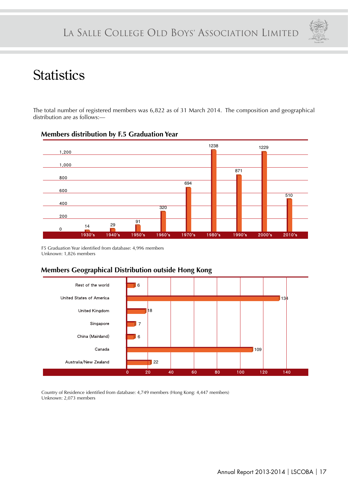

## **Statistics**

The total number of registered members was 6,822 as of 31 March 2014. The composition and geographical distribution are as follows:—



### **Members distribution by F.5 Graduation Year**

F5 Graduation Year identified from database: 4,996 members Unknown: 1,826 members



### **Members Geographical Distribution outside Hong Kong**

Country of Residence identified from database: 4,749 members (Hong Kong: 4,447 members) Unknown: 2,073 members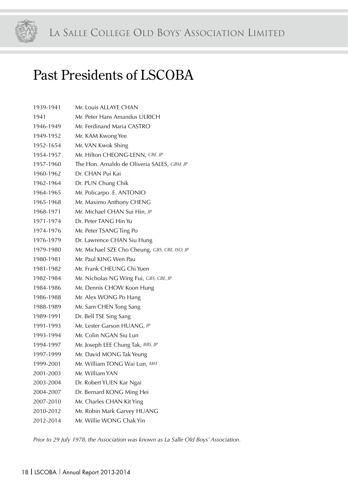

# Past Presidents of LSCOBA

| 1939-1941 | Mr. Louis ALLAYE CHAN                         |
|-----------|-----------------------------------------------|
| 1941      | Mr. Peter Hans Amandus ULRICH                 |
| 1946-1949 | Mr. Ferdinand Maria CASTRO                    |
| 1949-1952 | Mr. KAM Kwong Yee                             |
| 1952-1654 | Mr. VAN Kwok Shing                            |
| 1954-1957 | Mr. Hilton CHEONG-LENN, CBE, JP               |
| 1957-1960 | The Hon. Arnaldo de Oliveria SALES, CBM, JP   |
| 1960-1962 | Dr. CHAN Pui Kai                              |
| 1962-1964 | Dr. PUN Chung Chik                            |
| 1964-1965 | Mr. Policarpo E. ANTONIO                      |
| 1965-1968 | Mr. Maximo Anthony CHENG                      |
| 1968-1971 | Mr. Michael CHAN Sui Hin, JP                  |
| 1971-1974 | Dr. Peter TANG Hin Yu                         |
| 1974-1976 | Mr. Peter TSANG Ting Po                       |
| 1976-1979 | Dr. Lawrence CHAN Siu Hung                    |
| 1979-1980 | Mr. Michael SZE Cho Cheung, GBS, CBE, ISO, JP |
| 1980-1981 | Mr. Paul KING Wen Pau                         |
| 1981-1982 | Mr. Frank CHEUNG Chi Yuen                     |
| 1982-1984 | Mr. Nicholas NG Wing Fui, GBS, CBE, JP        |
| 1984-1986 | Mr. Dennis CHOW Koon Hung                     |
| 1986-1988 | Mr. Alex WONG Po Hang                         |
| 1988-1989 | Mr. Sam CHEN Tong Sang                        |
| 1989-1991 | Dr. Bell TSE Sing Sang                        |
| 1991-1993 | Mr. Lester Garson HUANG, JP                   |
| 1993-1994 | Mr. Colin NGAN Siu Lun                        |
| 1994-1997 | Mr. Joseph LEE Chung Tak, BBS, JP             |
| 1997-1999 | Mr. David MONG Tak Yeung                      |
| 1999-2001 | Mr. William TONG Wai Lun, MH                  |
| 2001-2003 | Mr. William YAN                               |
| 2003-2004 | Dr. Robert YUEN Kar Ngai                      |
| 2004-2007 | Dr. Bernard KONG Ming Hei                     |
| 2007-2010 | Mr. Charles CHAN Kit Ying                     |
| 2010-2012 | Mr. Robin Mark Garvey HUANG                   |
| 2012-2014 | Mr. Willie WONG Chak Yin                      |

*Prior to 29 July 1978, the Association was known as La Salle Old Boys' Association.*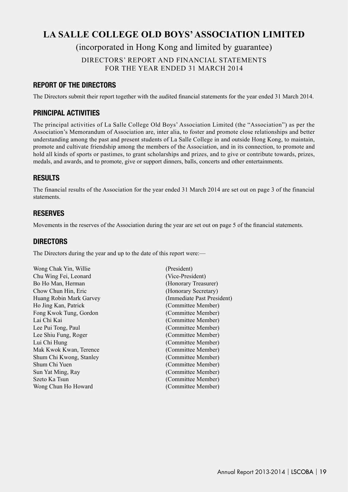### LA SALLE COLLEGE OLD BOYS' ASSOCIATION LIMITED LA SALLE COLLEGE OLD BOYS' ASSOCIATION LIMITED **LA SALLE COLLEGE OLD BOYS' ASSOCIATION LIMITED**

(incorporated in Hong Kong and limited by guarantee)

DIRECTORS' REPORT AND FINANCIAL STATEMENTS FOR THE YEAR ENDED 31 MARCH 2014<br>Past Past Presidents of Lines

### **REPORT OF THE DIRECTORS**

The Directors submit their report together with the audited financial statements for the year ended 31 March 2014.

### **PRINCIPAL ACTIVITIES**

The principal activities of La Salle College Old Boys' Association Limited (the "Association") as per the Association's Memorandum of Association are, inter alia, to foster and promote close relationships and better understanding among the past and present students of La Salle College in and outside Hong Kong, to maintain, promote and cultivate friendship among the members of the Association, and in its connection, to promote and hold all kinds of sports or pastimes, to grant scholarships and prizes, and to give or contribute towards, prizes, medals, and awards, and to promote, give or support dinners, balls, concerts and other entertainments.

### **RESULTS**

The financial results of the Association for the year ended 31 March 2014 are set out on page 3 of the financial statements.

### **RESERVES**

Movements in the reserves of the Association during the year are set out on page 5 of the financial statements.

### **DIRECTORS**

The Directors during the year and up to the date of this report were:—

Wong Chak Yin, Willie (President) Chu Wing Fei, Leonard (Vice-President) Bo Ho Man, Herman (Honorary Treasurer) Chow Chun Hin, Eric (Honorary Secretary) Huang Robin Mark Garvey (Immediate Past President) Ho Jing Kan, Patrick (Committee Member) Fong Kwok Tung, Gordon (Committee Member) Lai Chi Kai (Committee Member) Lee Pui Tong, Paul (Committee Member) Lee Shiu Fung, Roger (Committee Member) Lui Chi Hung (Committee Member) Mak Kwok Kwan, Terence (Committee Member)<br>
Shum Chi Kwong, Stanley (Committee Member) Shum Chi Kwong, Stanley Shum Chi Yuen (Committee Member) Sun Yat Ming, Ray (Committee Member) Szeto Ka Tsun (Committee Member) Wong Chun Ho Howard (Committee Member)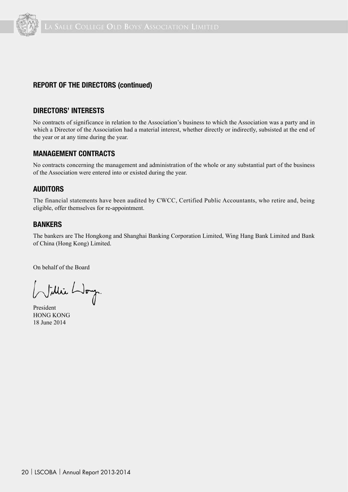

### **REPORT OF THE DIRECTORS (continued)**

### **DIRECTORS' INTERESTS**

No contracts of significance in relation to the Association's business to which the Association was a party and in which a Director of the Association had a material interest, whether directly or indirectly, subsisted at the end of the year or at any time during the year.

### **MANAGEMENT CONTRACTS**

No contracts concerning the management and administration of the whole or any substantial part of the business of the Association were entered into or existed during the year.

### **AUDITORS**

The financial statements have been audited by CWCC, Certified Public Accountants, who retire and, being eligible, offer themselves for re-appointment.

### **BANKERS**

The bankers are The Hongkong and Shanghai Banking Corporation Limited, Wing Hang Bank Limited and Bank of China (Hong Kong) Limited.

On behalf of the Board

Jillie Worg.

President HONG KONG 18 June 2014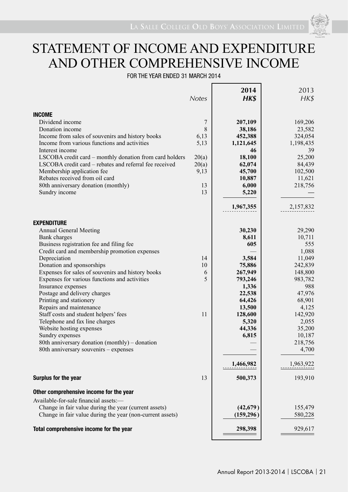г

### STATEMENT OF INCOME AND EXPENDITURE AND OTHER COMPREHENSIVE INCOME

FOR THE YEAR ENDED 31 MARCH 2014

|                                                           |              | 2014            | 2013             |
|-----------------------------------------------------------|--------------|-----------------|------------------|
|                                                           | <b>Notes</b> | HK\$            | $H K$ \$         |
| <b>INCOME</b>                                             |              |                 |                  |
| Dividend income                                           | 7            | 207,109         | 169,206          |
| Donation income                                           | 8            | 38,186          | 23,582           |
| Income from sales of souvenirs and history books          | 6,13         | 452,388         | 324,054          |
| Income from various functions and activities              | 5,13         | 1,121,645       | 1,198,435        |
| Interest income                                           |              | 46              | 39               |
| LSCOBA credit card - monthly donation from card holders   | 20(a)        | 18,100          | 25,200           |
| LSCOBA credit card – rebates and referral fee received    | 20(a)        | 62,074          | 84,439           |
| Membership application fee                                | 9,13         | 45,700          | 102,500          |
| Rebates received from oil card                            |              | 10,887          | 11,621           |
| 80th anniversary donation (monthly)                       | 13           | 6,000           | 218,756          |
| Sundry income                                             | 13           | 5,220           |                  |
|                                                           |              | 1,967,355       | 2,157,832        |
|                                                           |              |                 |                  |
| <b>EXPENDITURE</b><br><b>Annual General Meeting</b>       |              |                 |                  |
| Bank charges                                              |              | 30,230<br>8,611 | 29,290<br>10,711 |
| Business registration fee and filing fee                  |              | 605             | 555              |
| Credit card and membership promotion expenses             |              |                 | 1,088            |
| Depreciation                                              | 14           | 3,584           | 11,049           |
| Donation and sponsorships                                 | 10           | 75,886          | 242,839          |
| Expenses for sales of souvenirs and history books         | 6            | 267,949         | 148,800          |
| Expenses for various functions and activities             | 5            | 793,246         | 983,782          |
| Insurance expenses                                        |              | 1,336           | 988              |
| Postage and delivery charges                              |              | 22,538          | 47,976           |
| Printing and stationery                                   |              | 64,426          | 68,901           |
| Repairs and maintenance                                   |              | 13,500          | 4,125            |
| Staff costs and student helpers' fees                     | 11           | 128,600         | 142,920          |
| Telephone and fax line charges                            |              | 5,320           | 2,055            |
| Website hosting expenses                                  |              | 44,336          | 35,200           |
| Sundry expenses                                           |              | 6,815           | 10,187           |
| 80th anniversary donation (monthly) – donation            |              |                 | 218,756          |
| 80th anniversary souvenirs - expenses                     |              |                 | 4,700            |
|                                                           |              | 1,466,982       | 1,963,922        |
| <b>Surplus for the year</b>                               | 13           | 500,373         | 193,910          |
| Other comprehensive income for the year                   |              |                 |                  |
| Available-for-sale financial assets:-                     |              |                 |                  |
| Change in fair value during the year (current assets)     |              | (42, 679)       | 155,479          |
| Change in fair value during the year (non-current assets) |              | (159,296)       | 580,228          |
| Total comprehensive income for the year                   |              | 298,398         | 929,617          |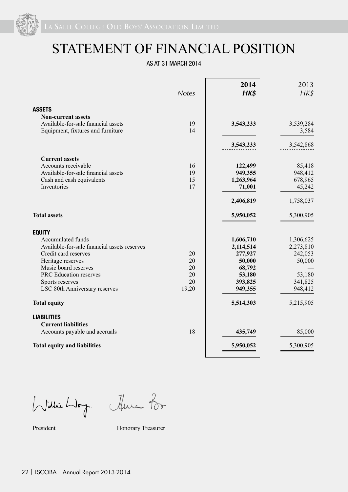

## STATEMENT OF FINANCIAL POSITION

AS AT 31 MARCH 2014

|                                              | <b>Notes</b> | 2014<br>HK\$ | 2013<br>$H K$ \$ |
|----------------------------------------------|--------------|--------------|------------------|
| <b>ASSETS</b>                                |              |              |                  |
| <b>Non-current assets</b>                    |              |              |                  |
| Available-for-sale financial assets          | 19           | 3,543,233    | 3,539,284        |
| Equipment, fixtures and furniture            | 14           |              | 3,584            |
|                                              |              | 3,543,233    | 3,542,868        |
| <b>Current assets</b>                        |              |              |                  |
| Accounts receivable                          | 16           | 122,499      | 85,418           |
| Available-for-sale financial assets          | 19           | 949,355      | 948,412          |
| Cash and cash equivalents                    | 15           | 1,263,964    | 678,965          |
| Inventories                                  | 17           | 71,001       | 45,242           |
|                                              |              | 2,406,819    | 1,758,037        |
| <b>Total assets</b>                          |              | 5,950,052    | 5,300,905        |
| <b>EQUITY</b>                                |              |              |                  |
| Accumulated funds                            |              | 1,606,710    | 1,306,625        |
| Available-for-sale financial assets reserves |              | 2,114,514    | 2,273,810        |
| Credit card reserves                         | 20           | 277,927      | 242,053          |
| Heritage reserves                            | 20           | 50,000       | 50,000           |
| Music board reserves                         | 20           | 68,792       |                  |
| PRC Education reserves                       | 20           | 53,180       | 53,180           |
| Sports reserves                              | 20           | 393,825      | 341,825          |
| LSC 80th Anniversary reserves                | 19,20        | 949,355      | 948,412          |
| <b>Total equity</b>                          |              | 5,514,303    | 5,215,905        |
| <b>LIABILITIES</b>                           |              |              |                  |
| <b>Current liabilities</b>                   |              |              |                  |
| Accounts payable and accruals                | 18           | 435,749      | 85,000           |
| <b>Total equity and liabilities</b>          |              | 5,950,052    | 5,300,905        |

Willie Woy. Alere Por

President Honorary Treasurer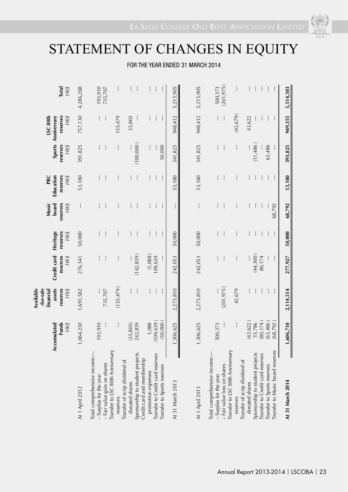

## STATEMENT OF CHANGES IN EQUITY

### FOR THE YEAR ENDED 31 MARCH 2014

|                                                                                                                           | HK\$<br>Funds<br>Accumulated     | Available<br>-for-sale<br>assets<br>reserves<br>HK\$<br>financial | Credit card<br>reserves<br>HK\$ | Heritage<br>reserves<br>HK\$ | Music<br>board<br>reserves<br>HK\$ | Education<br>reserves<br>PRC<br>HK\$ | <b>Sports</b><br>HK\$<br>reserves | LSC <sub>80th</sub><br>reserves<br>HK\$<br>Anniversary | <b>Total</b><br>HK\$  |
|---------------------------------------------------------------------------------------------------------------------------|----------------------------------|-------------------------------------------------------------------|---------------------------------|------------------------------|------------------------------------|--------------------------------------|-----------------------------------|--------------------------------------------------------|-----------------------|
| At 1 April 2012                                                                                                           | 1,064,230                        | 1,693,582                                                         | 276,341                         | 50,000                       |                                    | 53,180                               | 391,825                           | 757,130                                                | 4,286,288             |
| Transfer to LSC 80th Anniversary<br>Total comprehensive income:-<br>- Fair value gain on shares<br>- Surplus for the year | 193,910                          | 735,707                                                           |                                 |                              |                                    |                                      |                                   |                                                        | 193,910<br>735,707    |
| Transfer of scrip dividend of<br>reserves                                                                                 |                                  | (155, 479)                                                        |                                 |                              |                                    |                                      |                                   | 155,479                                                |                       |
| Sponsorship to student projects<br>Credit card and membership<br>donated shares                                           | 242,839<br>(35, 803)             |                                                                   | (142, 839)                      |                              |                                    |                                      | (100,000)                         | 35,803                                                 |                       |
| Transfer to Credit card reserves<br>Transfer to Sports reserves<br>promotion expenses                                     | (109, 639)<br>(50,000)<br>1,088  |                                                                   | (1,088)<br>109,639              |                              |                                    |                                      | 50,000                            |                                                        |                       |
| At 31 March 2013                                                                                                          | 1,306,625                        | 2,273,810                                                         | 242,053                         | 50,000                       |                                    | 53,180                               | 341,825                           | 948,412                                                | 5,215,905             |
| At 1 April 2013                                                                                                           | 1,306,625                        | 2,273,810                                                         | 242,053                         | 50,000                       |                                    | 53,180                               | 341,825                           | 948,412                                                | 5,215,905             |
| Transfer to LSC 80th Anniversary<br>Total comprehensive income:-<br>- Fair value loss on shares<br>- Surplus for the year | 500,373                          | (201, 975)                                                        |                                 |                              |                                    |                                      |                                   |                                                        | (201, 975)<br>500,373 |
| Transfer of scrip dividend of<br>reserves                                                                                 |                                  | 42,679                                                            |                                 |                              |                                    |                                      |                                   | (42, 679)                                              |                       |
| Sponsorship to student projects<br>Transfer to Credit card reserves<br>donated shares                                     | (43, 622)<br>(80, 174)<br>55,786 |                                                                   | (44,300)<br>80,174              |                              |                                    |                                      | (11, 486)                         | 43,622                                                 |                       |
| Transfer to Music board reserves<br>Transfer to Sports reserves                                                           | (63, 486)<br>(68, 792)           |                                                                   |                                 |                              | 68,792                             |                                      | 63,486                            |                                                        |                       |
| At 31 March 2014                                                                                                          | 1,606,710                        | 2,114,514                                                         | 277,927                         | 50,000                       | 68,792                             | 53,180                               | 393,825                           | 949,355                                                | 5,514,303             |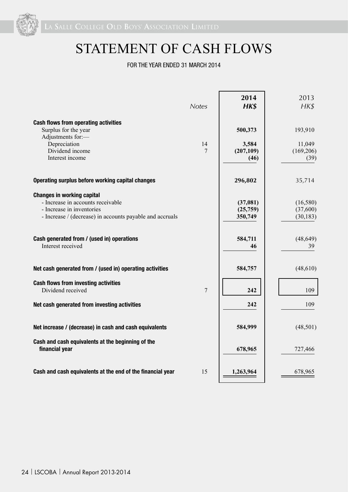

# STATEMENT OF CASH FLOWS

FOR THE YEAR ENDED 31 MARCH 2014

|                                                                                                                                                                 | <b>Notes</b>   | 2014<br>HK\$                           | 2013<br>$H K$ \$                        |
|-----------------------------------------------------------------------------------------------------------------------------------------------------------------|----------------|----------------------------------------|-----------------------------------------|
| <b>Cash flows from operating activities</b><br>Surplus for the year<br>Adjustments for:-<br>Depreciation<br>Dividend income<br>Interest income                  | 14<br>7        | 500,373<br>3,584<br>(207, 109)<br>(46) | 193,910<br>11,049<br>(169, 206)<br>(39) |
| Operating surplus before working capital changes                                                                                                                |                | 296,802                                | 35,714                                  |
| <b>Changes in working capital</b><br>- Increase in accounts receivable<br>- Increase in inventories<br>- Increase / (decrease) in accounts payable and accruals |                | (37,081)<br>(25,759)<br>350,749        | (16,580)<br>(37,600)<br>(30, 183)       |
| Cash generated from / (used in) operations<br>Interest received                                                                                                 |                | 584,711<br>46                          | (48, 649)<br>39                         |
| Net cash generated from / (used in) operating activities                                                                                                        |                | 584,757                                | (48, 610)                               |
| <b>Cash flows from investing activities</b><br>Dividend received                                                                                                | $\overline{7}$ | 242                                    | 109                                     |
| Net cash generated from investing activities                                                                                                                    |                | 242                                    | 109                                     |
| Net increase / (decrease) in cash and cash equivalents                                                                                                          |                | 584,999                                | (48, 501)                               |
| Cash and cash equivalents at the beginning of the<br>financial year                                                                                             |                | 678,965                                | 727,466                                 |
| Cash and cash equivalents at the end of the financial year                                                                                                      | 15             | 1,263,964                              | 678,965                                 |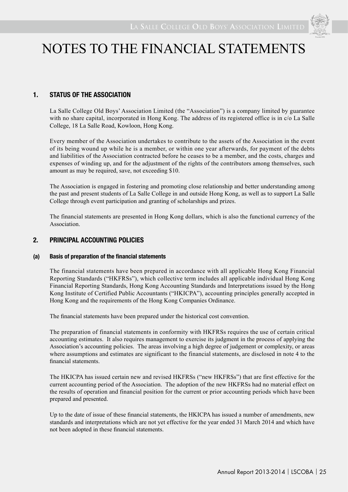### **1. STATUS OF THE ASSOCIATION**

La Salle College Old Boys' Association Limited (the "Association") is a company limited by guarantee with no share capital, incorporated in Hong Kong. The address of its registered office is in c/o La Salle College, 18 La Salle Road, Kowloon, Hong Kong.

Every member of the Association undertakes to contribute to the assets of the Association in the event of its being wound up while he is a member, or within one year afterwards, for payment of the debts and liabilities of the Association contracted before he ceases to be a member, and the costs, charges and expenses of winding up, and for the adjustment of the rights of the contributors among themselves, such amount as may be required, save, not exceeding \$10.

The Association is engaged in fostering and promoting close relationship and better understanding among the past and present students of La Salle College in and outside Hong Kong, as well as to support La Salle College through event participation and granting of scholarships and prizes.

The financial statements are presented in Hong Kong dollars, which is also the functional currency of the **Association** 

### **2. PRINCIPAL ACCOUNTING POLICIES**

### **(a) Basis of preparation of the financial statements**

The financial statements have been prepared in accordance with all applicable Hong Kong Financial Reporting Standards ("HKFRSs"), which collective term includes all applicable individual Hong Kong Financial Reporting Standards, Hong Kong Accounting Standards and Interpretations issued by the Hong Kong Institute of Certified Public Accountants ("HKICPA"), accounting principles generally accepted in Hong Kong and the requirements of the Hong Kong Companies Ordinance.

The financial statements have been prepared under the historical cost convention.

The preparation of financial statements in conformity with HKFRSs requires the use of certain critical accounting estimates. It also requires management to exercise its judgment in the process of applying the Association's accounting policies. The areas involving a high degree of judgement or complexity, or areas where assumptions and estimates are significant to the financial statements, are disclosed in note 4 to the financial statements.

The HKICPA has issued certain new and revised HKFRSs ("new HKFRSs") that are first effective for the current accounting period of the Association. The adoption of the new HKFRSs had no material effect on the results of operation and financial position for the current or prior accounting periods which have been prepared and presented.

Up to the date of issue of these financial statements, the HKICPA has issued a number of amendments, new standards and interpretations which are not yet effective for the year ended 31 March 2014 and which have not been adopted in these financial statements.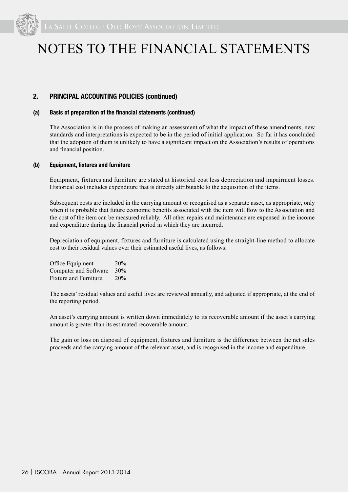

### **2. PRINCIPAL ACCOUNTING POLICIES (continued)**

### **(a) Basis of preparation of the financial statements (continued)**

The Association is in the process of making an assessment of what the impact of these amendments, new standards and interpretations is expected to be in the period of initial application. So far it has concluded that the adoption of them is unlikely to have a significant impact on the Association's results of operations and financial position.

### **(b) Equipment, fixtures and furniture**

Equipment, fixtures and furniture are stated at historical cost less depreciation and impairment losses. Historical cost includes expenditure that is directly attributable to the acquisition of the items.

Subsequent costs are included in the carrying amount or recognised as a separate asset, as appropriate, only when it is probable that future economic benefits associated with the item will flow to the Association and the cost of the item can be measured reliably. All other repairs and maintenance are expensed in the income and expenditure during the financial period in which they are incurred.

Depreciation of equipment, fixtures and furniture is calculated using the straight-line method to allocate cost to their residual values over their estimated useful lives, as follows:—

Office Equipment 20% Computer and Software 30% Fixture and Furniture 20%

The assets' residual values and useful lives are reviewed annually, and adjusted if appropriate, at the end of the reporting period.

An asset's carrying amount is written down immediately to its recoverable amount if the asset's carrying amount is greater than its estimated recoverable amount.

The gain or loss on disposal of equipment, fixtures and furniture is the difference between the net sales proceeds and the carrying amount of the relevant asset, and is recognised in the income and expenditure.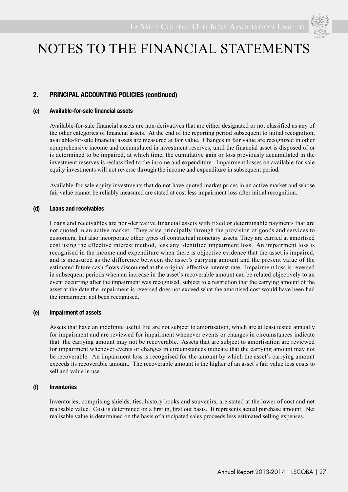

### **2. PRINCIPAL ACCOUNTING POLICIES (continued)**

### **(c) Available-for-sale financial assets**

Available-for-sale financial assets are non-derivatives that are either designated or not classified as any of the other categories of financial assets. At the end of the reporting period subsequent to initial recognition, available-for-sale financial assets are measured at fair value. Changes in fair value are recognized in other comprehensive income and accumulated in investment reserves, until the financial asset is disposed of or is determined to be impaired, at which time, the cumulative gain or loss previously accumulated in the investment reserves is reclassified to the income and expenditure. Impairment losses on available-for-sale equity investments will not reverse through the income and expenditure in subsequent period.

Available-for-sale equity investments that do not have quoted market prices in an active market and whose fair value cannot be reliably measured are stated at cost less impairment loss after initial recognition.

### **(d) Loans and receivables**

Loans and receivables are non-derivative financial assets with fixed or determinable payments that are not quoted in an active market. They arise principally through the provision of goods and services to customers, but also incorporate other types of contractual monetary assets. They are carried at amortised cost using the effective interest method, less any identified impairment loss. An impairment loss is recognised in the income and expenditure when there is objective evidence that the asset is impaired, and is measured as the difference between the asset's carrying amount and the present value of the estimated future cash flows discounted at the original effective interest rate. Impairment loss is reversed in subsequent periods when an increase in the asset's recoverable amount can be related objectively to an event occurring after the impairment was recognised, subject to a restriction that the carrying amount of the asset at the date the impairment is reversed does not exceed what the amortised cost would have been had the impairment not been recognised.

### **(e) Impairment of assets**

Assets that have an indefinite useful life are not subject to amortisation, which are at least tested annually for impairment and are reviewed for impairment whenever events or changes in circumstances indicate that the carrying amount may not be recoverable. Assets that are subject to amortisation are reviewed for impairment whenever events or changes in circumstances indicate that the carrying amount may not be recoverable. An impairment loss is recognised for the amount by which the asset's carrying amount exceeds its recoverable amount. The recoverable amount is the higher of an asset's fair value less costs to sell and value in use.

### **(f) Inventories**

Inventories, comprising shields, ties, history books and souvenirs, are stated at the lower of cost and net realisable value. Cost is determined on a first in, first out basis. It represents actual purchase amount. Net realisable value is determined on the basis of anticipated sales proceeds less estimated selling expenses.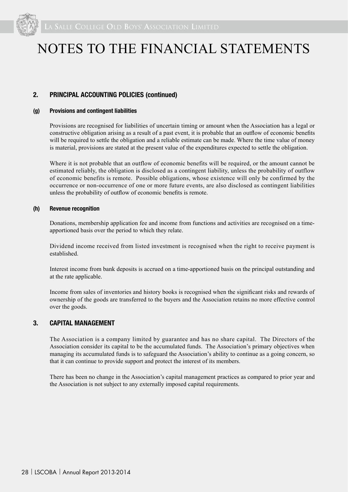

### **2. PRINCIPAL ACCOUNTING POLICIES (continued)**

### **(g) Provisions and contingent liabilities**

Provisions are recognised for liabilities of uncertain timing or amount when the Association has a legal or constructive obligation arising as a result of a past event, it is probable that an outflow of economic benefits will be required to settle the obligation and a reliable estimate can be made. Where the time value of money is material, provisions are stated at the present value of the expenditures expected to settle the obligation.

Where it is not probable that an outflow of economic benefits will be required, or the amount cannot be estimated reliably, the obligation is disclosed as a contingent liability, unless the probability of outflow of economic benefits is remote. Possible obligations, whose existence will only be confirmed by the occurrence or non-occurrence of one or more future events, are also disclosed as contingent liabilities unless the probability of outflow of economic benefits is remote.

### **(h) Revenue recognition**

Donations, membership application fee and income from functions and activities are recognised on a timeapportioned basis over the period to which they relate.

Dividend income received from listed investment is recognised when the right to receive payment is established.

Interest income from bank deposits is accrued on a time-apportioned basis on the principal outstanding and at the rate applicable.

Income from sales of inventories and history books is recognised when the significant risks and rewards of ownership of the goods are transferred to the buyers and the Association retains no more effective control over the goods.

### **3. CAPITAL MANAGEMENT**

The Association is a company limited by guarantee and has no share capital. The Directors of the Association consider its capital to be the accumulated funds. The Association's primary objectives when managing its accumulated funds is to safeguard the Association's ability to continue as a going concern, so that it can continue to provide support and protect the interest of its members.

There has been no change in the Association's capital management practices as compared to prior year and the Association is not subject to any externally imposed capital requirements.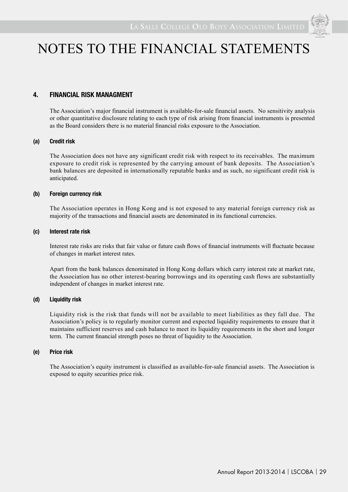### **4. FINANCIAL RISK MANAGMENT**

The Association's major financial instrument is available-for-sale financial assets. No sensitivity analysis or other quantitative disclosure relating to each type of risk arising from financial instruments is presented as the Board considers there is no material financial risks exposure to the Association.

### **(a) Credit risk**

The Association does not have any significant credit risk with respect to its receivables. The maximum exposure to credit risk is represented by the carrying amount of bank deposits. The Association's bank balances are deposited in internationally reputable banks and as such, no significant credit risk is anticipated.

### **(b) Foreign currency risk**

The Association operates in Hong Kong and is not exposed to any material foreign currency risk as majority of the transactions and financial assets are denominated in its functional currencies.

### **(c) Interest rate risk**

Interest rate risks are risks that fair value or future cash flows of financial instruments will fluctuate because of changes in market interest rates.

Apart from the bank balances denominated in Hong Kong dollars which carry interest rate at market rate, the Association has no other interest-bearing borrowings and its operating cash flows are substantially independent of changes in market interest rate.

### **(d) Liquidity risk**

Liquidity risk is the risk that funds will not be available to meet liabilities as they fall due. The Association's policy is to regularly monitor current and expected liquidity requirements to ensure that it maintains sufficient reserves and cash balance to meet its liquidity requirements in the short and longer term. The current financial strength poses no threat of liquidity to the Association.

### **(e) Price risk**

The Association's equity instrument is classified as available-for-sale financial assets. The Association is exposed to equity securities price risk.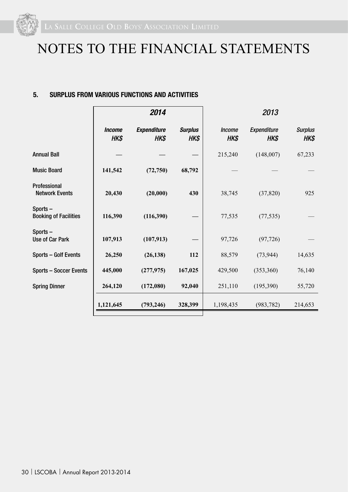

### **5. SURPLUS FROM VARIOUS FUNCTIONS AND ACTIVITIES**

|                                         |                              | 2014                       |                        |                              | 2013                |                        |
|-----------------------------------------|------------------------------|----------------------------|------------------------|------------------------------|---------------------|------------------------|
|                                         | <i><b>Income</b></i><br>HK\$ | <b>Expenditure</b><br>HK\$ | <b>Surplus</b><br>HK\$ | <i><b>Income</b></i><br>HK\$ | Expenditure<br>HK\$ | <b>Surplus</b><br>HK\$ |
| <b>Annual Ball</b>                      |                              |                            |                        | 215,240                      | (148,007)           | 67,233                 |
| <b>Music Board</b>                      | 141,542                      | (72,750)                   | 68,792                 |                              |                     |                        |
| Professional<br><b>Network Events</b>   | 20,430                       | (20,000)                   | 430                    | 38,745                       | (37, 820)           | 925                    |
| Sports-<br><b>Booking of Facilities</b> | 116,390                      | (116,390)                  |                        | 77,535                       | (77, 535)           |                        |
| Sports-<br><b>Use of Car Park</b>       | 107,913                      | (107, 913)                 |                        | 97,726                       | (97, 726)           |                        |
| Sports - Golf Events                    | 26,250                       | (26, 138)                  | 112                    | 88,579                       | (73, 944)           | 14,635                 |
| <b>Sports - Soccer Events</b>           | 445,000                      | (277, 975)                 | 167,025                | 429,500                      | (353,360)           | 76,140                 |
| <b>Spring Dinner</b>                    | 264,120                      | (172,080)                  | 92,040                 | 251,110                      | (195,390)           | 55,720                 |
|                                         | 1,121,645                    | (793, 246)                 | 328,399                | 1,198,435                    | (983, 782)          | 214,653                |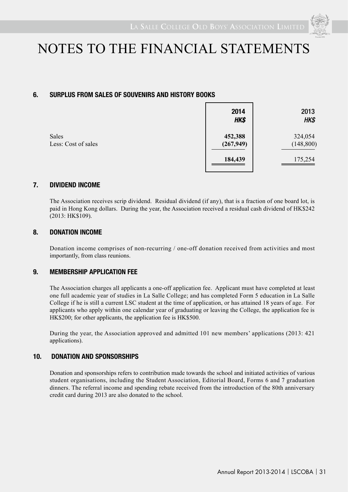

### **6. SURPLUS FROM SALES OF SOUVENIRS AND HISTORY BOOKS**

|                              | 2014<br>HK\$          | 2013<br>HK\$          |
|------------------------------|-----------------------|-----------------------|
| Sales<br>Less: Cost of sales | 452,388<br>(267, 949) | 324,054<br>(148, 800) |
|                              | 184,439               | 175,254               |

### **7. DIVIDEND INCOME**

The Association receives scrip dividend. Residual dividend (if any), that is a fraction of one board lot, is paid in Hong Kong dollars. During the year, the Association received a residual cash dividend of HK\$242 (2013: HK\$109).

### **8. DONATION INCOME**

Donation income comprises of non-recurring / one-off donation received from activities and most importantly, from class reunions.

### **9. MEMBERSHIP APPLICATION FEE**

The Association charges all applicants a one-off application fee. Applicant must have completed at least one full academic year of studies in La Salle College; and has completed Form 5 education in La Salle College if he is still a current LSC student at the time of application, or has attained 18 years of age. For applicants who apply within one calendar year of graduating or leaving the College, the application fee is HK\$200; for other applicants, the application fee is HK\$500.

During the year, the Association approved and admitted 101 new members' applications (2013: 421 applications).

### **10. DONATION AND SPONSORSHIPS**

Donation and sponsorships refers to contribution made towards the school and initiated activities of various student organisations, including the Student Association, Editorial Board, Forms 6 and 7 graduation dinners. The referral income and spending rebate received from the introduction of the 80th anniversary credit card during 2013 are also donated to the school.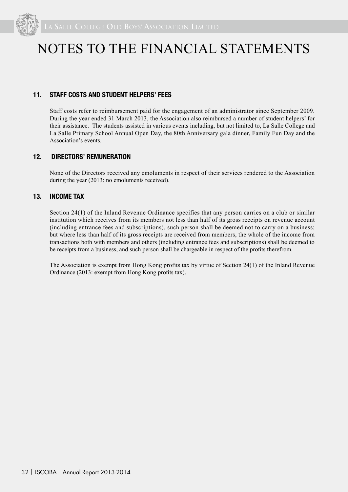

### **11. STAFF COSTS AND STUDENT HELPERS' FEES**

Staff costs refer to reimbursement paid for the engagement of an administrator since September 2009. During the year ended 31 March 2013, the Association also reimbursed a number of student helpers' for their assistance. The students assisted in various events including, but not limited to, La Salle College and La Salle Primary School Annual Open Day, the 80th Anniversary gala dinner, Family Fun Day and the Association's events.

### **12. DIRECTORS' REMUNERATION**

None of the Directors received any emoluments in respect of their services rendered to the Association during the year (2013: no emoluments received).

### **13. INCOME TAX**

Section 24(1) of the Inland Revenue Ordinance specifies that any person carries on a club or similar institution which receives from its members not less than half of its gross receipts on revenue account (including entrance fees and subscriptions), such person shall be deemed not to carry on a business; but where less than half of its gross receipts are received from members, the whole of the income from transactions both with members and others (including entrance fees and subscriptions) shall be deemed to be receipts from a business, and such person shall be chargeable in respect of the profits therefrom.

The Association is exempt from Hong Kong profits tax by virtue of Section 24(1) of the Inland Revenue Ordinance (2013: exempt from Hong Kong profits tax).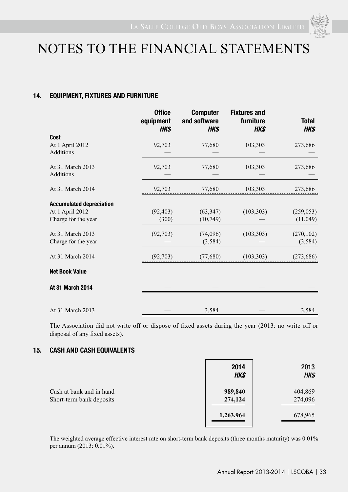### **14. EQUIPMENT, FIXTURES AND FURNITURE**

|                                 | <b>Office</b><br>equipment<br>HK\$ | <b>Computer</b><br>and software<br>HK\$ | <b>Fixtures and</b><br>furniture<br>HK\$ | <b>Total</b><br>HK\$ |
|---------------------------------|------------------------------------|-----------------------------------------|------------------------------------------|----------------------|
| <b>Cost</b>                     |                                    |                                         |                                          |                      |
| At 1 April 2012                 | 92,703                             | 77,680                                  | 103,303                                  | 273,686              |
| Additions                       |                                    |                                         |                                          |                      |
| At 31 March 2013                | 92,703                             | 77,680                                  | 103,303                                  | 273,686              |
| Additions                       |                                    |                                         |                                          |                      |
| At 31 March 2014                | 92,703                             | 77,680                                  | 103,303                                  | 273,686              |
| <b>Accumulated depreciation</b> |                                    |                                         |                                          |                      |
| At 1 April 2012                 | (92, 403)                          | (63, 347)                               | (103, 303)                               | (259, 053)           |
| Charge for the year             | (300)                              | (10,749)                                |                                          | (11,049)             |
| At 31 March 2013                | (92, 703)                          | (74,096)                                | (103, 303)                               | (270, 102)           |
| Charge for the year             |                                    | (3,584)                                 |                                          | (3,584)              |
| At 31 March 2014                | (92, 703)                          | (77,680)                                | (103, 303)                               | (273, 686)           |
| <b>Net Book Value</b>           |                                    |                                         |                                          |                      |
| At 31 March 2014                |                                    |                                         |                                          |                      |
| At 31 March 2013                |                                    | 3,584                                   |                                          | 3,584                |

The Association did not write off or dispose of fixed assets during the year (2013: no write off or disposal of any fixed assets).

### **15. CASH AND CASH EQUIVALENTS**

|                          | 2014<br>HK\$ | 2013<br>HK\$ |
|--------------------------|--------------|--------------|
| Cash at bank and in hand | 989,840      | 404,869      |
| Short-term bank deposits | 274,124      | 274,096      |
|                          | 1,263,964    | 678,965      |

The weighted average effective interest rate on short-term bank deposits (three months maturity) was 0.01% per annum (2013: 0.01%).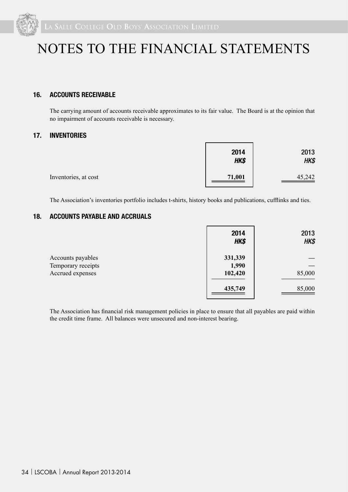

### **16. ACCOUNTS RECEIVABLE**

The carrying amount of accounts receivable approximates to its fair value. The Board is at the opinion that no impairment of accounts receivable is necessary.

### **17. INVENTORIES**

|                      | 2014<br>HK\$ | 2013<br>HK\$ |
|----------------------|--------------|--------------|
| Inventories, at cost | 71,001       | 45,242       |

The Association's inventories portfolio includes t-shirts, history books and publications, cufflinks and ties.

### **18. ACCOUNTS PAYABLE AND ACCRUALS**

|                    | 2014<br>HK\$ | 2013<br>HK\$ |
|--------------------|--------------|--------------|
| Accounts payables  | 331,339      |              |
| Temporary receipts | 1,990        |              |
| Accrued expenses   | 102,420      | 85,000       |
|                    | 435,749      | 85,000       |

The Association has financial risk management policies in place to ensure that all payables are paid within the credit time frame. All balances were unsecured and non-interest bearing.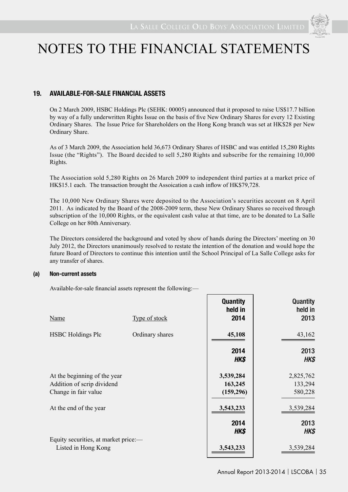### **19. AVAILABLE-FOR-SALE FINANCIAL ASSETS**

On 2 March 2009, HSBC Holdings Plc (SEHK: 00005) announced that it proposed to raise US\$17.7 billion by way of a fully underwritten Rights Issue on the basis of five New Ordinary Shares for every 12 Existing Ordinary Shares. The Issue Price for Shareholders on the Hong Kong branch was set at HK\$28 per New Ordinary Share.

As of 3 March 2009, the Association held 36,673 Ordinary Shares of HSBC and was entitled 15,280 Rights Issue (the "Rights"). The Board decided to sell 5,280 Rights and subscribe for the remaining 10,000 Rights.

The Association sold 5,280 Rights on 26 March 2009 to independent third parties at a market price of HK\$15.1 each. The transaction brought the Assoication a cash inflow of HK\$79,728.

The 10,000 New Ordinary Shares were deposited to the Association's securities account on 8 April 2011. As indicated by the Board of the 2008-2009 term, these New Ordinary Shares so received through subscription of the 10,000 Rights, or the equivalent cash value at that time, are to be donated to La Salle College on her 80th Anniversary.

The Directors considered the background and voted by show of hands during the Directors' meeting on 30 July 2012, the Directors unanimously resolved to restate the intention of the donation and would hope the future Board of Directors to continue this intention until the School Principal of La Salle College asks for any transfer of shares.

### **(a) Non-current assets**

Available-for-sale financial assets represent the following:—

| <b>Name</b>                                                                        | Type of stock   | <b>Quantity</b><br>held in<br>2014 | Quantity<br>held in<br>2013     |
|------------------------------------------------------------------------------------|-----------------|------------------------------------|---------------------------------|
| <b>HSBC</b> Holdings Plc                                                           | Ordinary shares | 45,108                             | 43,162                          |
|                                                                                    |                 | 2014<br>HK\$                       | 2013<br>HK\$                    |
| At the beginning of the year<br>Addition of scrip dividend<br>Change in fair value |                 | 3,539,284<br>163,245<br>(159,296)  | 2,825,762<br>133,294<br>580,228 |
| At the end of the year                                                             |                 | 3,543,233                          | 3,539,284                       |
|                                                                                    |                 | 2014<br>HK\$                       | 2013<br>HK\$                    |
| Equity securities, at market price:-<br>Listed in Hong Kong                        |                 | 3,543,233                          | 3,539,284                       |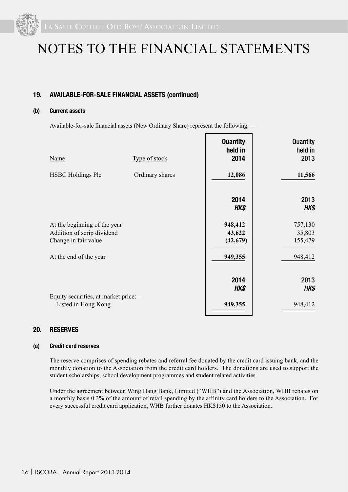

### **19. AVAILABLE-FOR-SALE FINANCIAL ASSETS (continued)**

### **(b) Current assets**

Available-for-sale financial assets (New Ordinary Share) represent the following:—

| Name                                                                                                         | Type of stock   | <b>Quantity</b><br>held in<br>2014        | Quantity<br>held in<br>2013             |
|--------------------------------------------------------------------------------------------------------------|-----------------|-------------------------------------------|-----------------------------------------|
| <b>HSBC Holdings Plc</b>                                                                                     | Ordinary shares | 12,086                                    | 11,566                                  |
|                                                                                                              |                 | 2014<br>HK\$                              | 2013<br>HK\$                            |
| At the beginning of the year<br>Addition of scrip dividend<br>Change in fair value<br>At the end of the year |                 | 948,412<br>43,622<br>(42, 679)<br>949,355 | 757,130<br>35,803<br>155,479<br>948,412 |
| Equity securities, at market price:—<br>Listed in Hong Kong                                                  |                 | 2014<br>HK\$<br>949,355                   | 2013<br>HK\$<br>948,412                 |

### **20. RESERVES**

### **(a) Credit card reserves**

The reserve comprises of spending rebates and referral fee donated by the credit card issuing bank, and the monthly donation to the Association from the credit card holders. The donations are used to support the student scholarships, school development programmes and student related activities.

Under the agreement between Wing Hang Bank, Limited ("WHB") and the Association, WHB rebates on a monthly basis 0.3% of the amount of retail spending by the affinity card holders to the Association. For every successful credit card application, WHB further donates HK\$150 to the Association.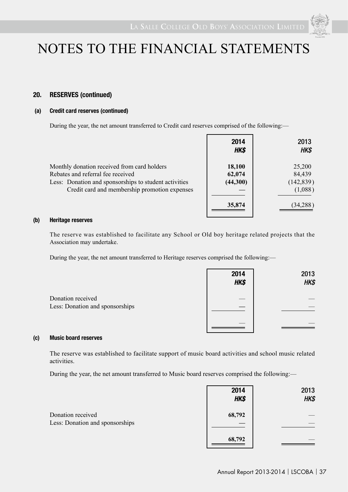### **20. RESERVES (continued)**

### **(a) Credit card reserves (continued)**

During the year, the net amount transferred to Credit card reserves comprised of the following:—

|                                                       | 2014<br>HK\$ | 2013<br>HK\$ |
|-------------------------------------------------------|--------------|--------------|
| Monthly donation received from card holders           | 18,100       | 25,200       |
| Rebates and referral fee received                     | 62,074       | 84,439       |
| Less: Donation and sponsorships to student activities | (44,300)     | (142, 839)   |
| Credit card and membership promotion expenses         |              | (1,088)      |
|                                                       | 35,874       | (34, 288)    |

### **(b) Heritage reserves**

The reserve was established to facilitate any School or Old boy heritage related projects that the Association may undertake.

During the year, the net amount transferred to Heritage reserves comprised the following:—

|                                 | 2014<br>HK\$ | 2013<br>HK\$ |
|---------------------------------|--------------|--------------|
| Donation received               |              |              |
| Less: Donation and sponsorships |              |              |
|                                 |              |              |

### **(c) Music board reserves**

The reserve was established to facilitate support of music board activities and school music related activities.

During the year, the net amount transferred to Music board reserves comprised the following:—

|                                                      | 2014<br>HK\$ | 2013<br>HK\$ |
|------------------------------------------------------|--------------|--------------|
| Donation received<br>Less: Donation and sponsorships | 68,792       |              |
|                                                      | 68,792       |              |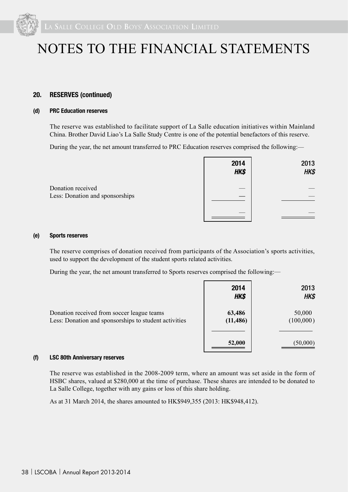

### **20. RESERVES (continued)**

### **(d) PRC Education reserves**

The reserve was established to facilitate support of La Salle education initiatives within Mainland China. Brother David Liao's La Salle Study Centre is one of the potential benefactors of this reserve.

During the year, the net amount transferred to PRC Education reserves comprised the following:—

|                                 | 2014<br>HK\$ | 2013<br><b>HK\$</b> |
|---------------------------------|--------------|---------------------|
| Donation received               |              |                     |
| Less: Donation and sponsorships |              |                     |
|                                 |              |                     |

### **(e) Sports reserves**

The reserve comprises of donation received from participants of the Association's sports activities, used to support the development of the student sports related activities.

During the year, the net amount transferred to Sports reserves comprised the following:—

|                                                                                                     | 2014<br><b>HK\$</b> | 2013<br>HK\$        |
|-----------------------------------------------------------------------------------------------------|---------------------|---------------------|
| Donation received from soccer league teams<br>Less: Donation and sponsorships to student activities | 63,486<br>(11, 486) | 50,000<br>(100,000) |
|                                                                                                     | 52,000              | (50,000)            |

### **(f) LSC 80th Anniversary reserves**

The reserve was established in the 2008-2009 term, where an amount was set aside in the form of HSBC shares, valued at \$280,000 at the time of purchase. These shares are intended to be donated to La Salle College, together with any gains or loss of this share holding.

As at 31 March 2014, the shares amounted to HK\$949,355 (2013: HK\$948,412).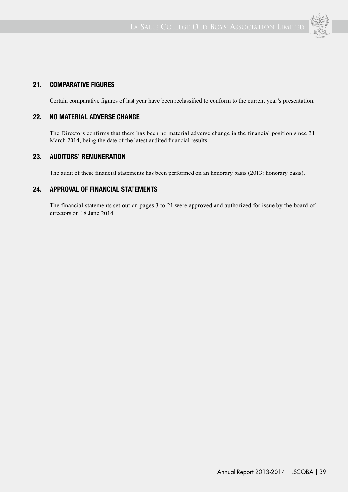

### **21. COMPARATIVE FIGURES**

Certain comparative figures of last year have been reclassified to conform to the current year's presentation.

### **22. NO MATERIAL ADVERSE CHANGE**

The Directors confirms that there has been no material adverse change in the financial position since 31 March 2014, being the date of the latest audited financial results.

### **23. AUDITORS' REMUNERATION**

The audit of these financial statements has been performed on an honorary basis (2013: honorary basis).

### **24. APPROVAL OF FINANCIAL STATEMENTS**

The financial statements set out on pages 3 to 21 were approved and authorized for issue by the board of directors on 18 June 2014.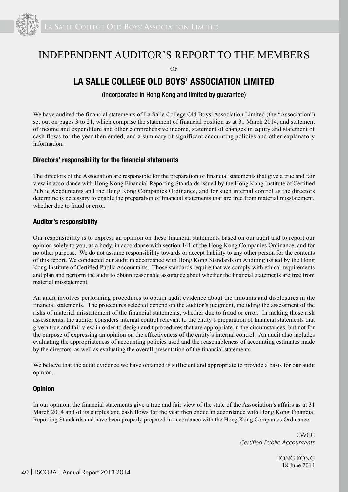

### INDEPENDENT AUDITOR'S REPORT TO THE MEMBERS

**OF** 

### **LA SALLE COLLEGE OLD BOYS' ASSOCIATION LIMITED**

### (incorporated in Hong Kong and limited by guarantee)

We have audited the financial statements of La Salle College Old Boys' Association Limited (the "Association") set out on pages 3 to 21, which comprise the statement of financial position as at 31 March 2014, and statement of income and expenditure and other comprehensive income, statement of changes in equity and statement of cash flows for the year then ended, and a summary of significant accounting policies and other explanatory information.

### **Directors' responsibility for the financial statements**

The directors of the Association are responsible for the preparation of financial statements that give a true and fair view in accordance with Hong Kong Financial Reporting Standards issued by the Hong Kong Institute of Certified Public Accountants and the Hong Kong Companies Ordinance, and for such internal control as the directors determine is necessary to enable the preparation of financial statements that are free from material misstatement, whether due to fraud or error.

### **Auditor's responsibility**

Our responsibility is to express an opinion on these financial statements based on our audit and to report our opinion solely to you, as a body, in accordance with section 141 of the Hong Kong Companies Ordinance, and for no other purpose. We do not assume responsibility towards or accept liability to any other person for the contents of this report. We conducted our audit in accordance with Hong Kong Standards on Auditing issued by the Hong Kong Institute of Certified Public Accountants. Those standards require that we comply with ethical requirements and plan and perform the audit to obtain reasonable assurance about whether the financial statements are free from material misstatement.

An audit involves performing procedures to obtain audit evidence about the amounts and disclosures in the financial statements. The procedures selected depend on the auditor's judgment, including the assessment of the risks of material misstatement of the financial statements, whether due to fraud or error. In making those risk assessments, the auditor considers internal control relevant to the entity's preparation of financial statements that give a true and fair view in order to design audit procedures that are appropriate in the circumstances, but not for the purpose of expressing an opinion on the effectiveness of the entity's internal control. An audit also includes evaluating the appropriateness of accounting policies used and the reasonableness of accounting estimates made by the directors, as well as evaluating the overall presentation of the financial statements.

We believe that the audit evidence we have obtained is sufficient and appropriate to provide a basis for our audit opinion.

### **Opinion**

In our opinion, the financial statements give a true and fair view of the state of the Association's affairs as at 31 March 2014 and of its surplus and cash flows for the year then ended in accordance with Hong Kong Financial Reporting Standards and have been properly prepared in accordance with the Hong Kong Companies Ordinance.

> CWCC *Certified Public Accountants*

> > HONG KONG 18 June 2014